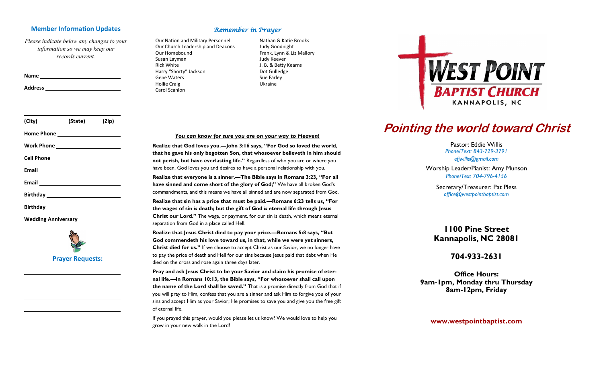### **Member Information Updates**

*Please indicate below any changes to your information so we may keep our records current.*

| <u> 1989 - Johann Barbara, martin amerikan basal dan berasal dan berasal dan berasal dalam berasal dan berasal da</u> |         |       |
|-----------------------------------------------------------------------------------------------------------------------|---------|-------|
| (City)                                                                                                                | (State) | (Zip) |
|                                                                                                                       |         |       |
|                                                                                                                       |         |       |
|                                                                                                                       |         |       |
| Email 2008 2010 2021 2022 2023 2024 2022 2022 2023 2024 2022 2023 2024 2022 2023 2024 2025 2026 2027 2028 2021        |         |       |
|                                                                                                                       |         |       |
|                                                                                                                       |         |       |
|                                                                                                                       |         |       |

**Name** 

**Wedding Anniversary** 



## Remember in Prayer

Our Nation and Military Personnel Our Church Leadership and Deacons Our Homebound Susan Layman Rick White Harry "Shorty" Jackson Gene Waters Hollie Craig Carol Scanlon

Nathan & Katie Brooks Judy Goodnight Frank, Lynn & Liz Mallory Judy Keever J. B. & Betty Kearns Dot Gulledge Sue Farley Ukraine

### *You can know for sure you are on your way to Heaven!*

**Realize that God loves you.—John 3:16 says, "For God so loved the world, that he gave his only begotten Son, that whosoever believeth in him should not perish, but have everlasting life."** Regardless of who you are or where you have been, God loves you and desires to have a personal relationship with you.

**Realize that everyone is a sinner.—The Bible says in Romans 3:23, "For all have sinned and come short of the glory of God;"** We have all broken God's commandments, and this means we have all sinned and are now separated from God.

**Realize that sin has a price that must be paid.—Romans 6:23 tells us, "For the wages of sin** *is* **death; but the gift of God** *is* **eternal life through Jesus Christ our Lord."** The wage, or payment, for our sin is death, which means eternal separation from God in a place called Hell.

**Realize that Jesus Christ died to pay your price.—Romans 5:8 says, "But God commendeth his love toward us, in that, while we were yet sinners, Christ died for us."** If we choose to accept Christ as our Savior, we no longer have to pay the price of death and Hell for our sins because Jesus paid that debt when He died on the cross and rose again three days later.

**Pray and ask Jesus Christ to be your Savior and claim his promise of eternal life.—In Romans 10:13, the Bible says, "For whosoever shall call upon the name of the Lord shall be saved."** That is a promise directly from God that if you will pray to Him, confess that you are a sinner and ask Him to forgive you of your sins and accept Him as your Savior; He promises to save you and give you the free gift of eternal life.

If you prayed this prayer, would you please let us know? We would love to help you grow in your new walk in the Lord!



# **Pointing the world toward Christ**

Pastor: Eddie Willis *Phone/Text: 843-729-3791 efjwillis@gmail.com*  Worship Leader/Pianist: Amy Munson *Phone/Text 704-796-4156*

> Secretary/Treasurer: Pat Pless *office@westpointbaptist.com*

# **1100 Pine Street Kannapolis, NC 28081**

# **704-933-2631**

**Office Hours: 9am-1pm, Monday thru Thursday 8am-12pm, Friday** 

**www.westpointbaptist.com**